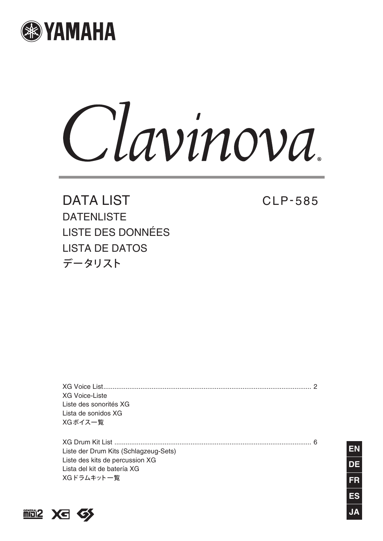

Clavinova.

DATA LIST DATENLISTE LISTE DES DONNÉES LISTA DE DATOS データリスト

CLP- 585

[XG Voice List................................................................................................................ 2](#page-1-0) XG Voice-Liste Liste des sonorités XG Lista de sonidos XG XGボイス一覧

[XG Drum Kit List .......................................................................................................... 6](#page-5-0) Liste der Drum Kits (Schlagzeug-Sets) Liste des kits de percussion XG Lista del kit de batería XG XGドラムキット一覧



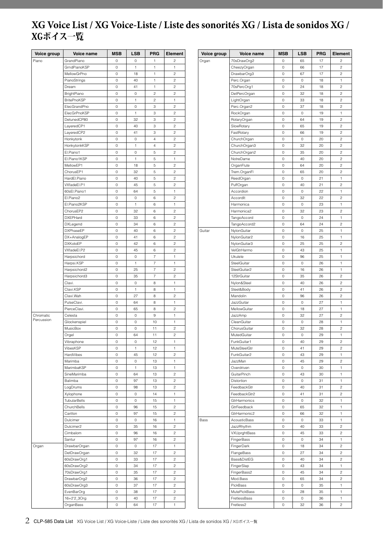## <span id="page-1-0"></span>**XG Voice List / XG Voice-Liste / Liste des sonorités XG / Lista de sonidos XG /**  XGボイス一覧

| Voice group | Voice name          | <b>MSB</b>          | <b>LSB</b>   | <b>PRG</b>               | Element        |  | Voice group | <b>Voice name</b> | <b>MSB</b>  | <b>LSB</b>          | PRG            | Element                 |
|-------------|---------------------|---------------------|--------------|--------------------------|----------------|--|-------------|-------------------|-------------|---------------------|----------------|-------------------------|
| Piano       | GrandPiano          | $\circ$             | 0            | $\mathbf{1}$             | $\overline{c}$ |  | Organ       | 70sDrawOrg2       | 0           | 65                  | 17             | $\overline{c}$          |
|             | GrndPianoKSP        | $\mathbb O$         | $\mathbf{1}$ | $\mathbf{1}$             | $\mathbf{1}$   |  |             | CheezyOrgan       | 0           | 66                  | 17             | $\overline{c}$          |
|             | MellowGrPno         | 0                   | 18           | 1                        | $\overline{c}$ |  |             | DrawbarOrg3       | 0           | 67                  | 17             | $\sqrt{2}$              |
|             | PianoStrings        | $\mathbb O$         | 40           | $\mathbf{1}$             | $\,2$          |  |             | Perc.Organ        | 0           | $\mathsf{O}\xspace$ | 18             | $\mathbf{1}$            |
|             | Dream               | $\mathbb O$         | 41           | 1                        | $\overline{c}$ |  |             | 70sPercOrg1       | 0           | 24                  | 18             | $\sqrt{2}$              |
|             | BrightPiano         | 0                   | $\mathbb O$  | $\overline{c}$           | $\overline{c}$ |  |             | DetPercOrgan      | 0           | 32                  | 18             | $\overline{c}$          |
|             | <b>BritePnoKSP</b>  | 0                   | 1            | $\overline{c}$           | 1              |  |             | LightOrgan        | 0           | 33                  | 18             | $\overline{c}$          |
|             | ElecGrandPno        | $\mathsf{O}\xspace$ | 0            | 3                        | $\sqrt{2}$     |  |             | Perc.Organ2       | 0           | 37                  | 18             | $\overline{c}$          |
|             | ElecGrPnoKSP        | $\mathbb O$         | 1            | 3                        | $\sqrt{2}$     |  |             |                   | 0           | 0                   | 19             | $\mathbf{1}$            |
|             |                     |                     |              |                          |                |  |             | RockOrgan         |             |                     |                |                         |
|             | DetunedCP80         | 0                   | 32           | 3                        | $\sqrt{2}$     |  |             | RotaryOrgan       | 0           | 64                  | 19             | $\sqrt{2}$              |
|             | LayeredCP1          | 0                   | 40           | 3                        | $\sqrt{2}$     |  |             | SlowRotary        | 0           | 65                  | 19             | $\sqrt{2}$              |
|             | LayeredCP2          | $\mathbb O$         | 41           | 3                        | $\sqrt{2}$     |  |             | FastRotary        | 0           | 66                  | 19             | $\overline{\mathbf{c}}$ |
|             | Honkytonk           | 0                   | $\mathbb O$  | $\overline{4}$           | $\sqrt{2}$     |  |             | ChurchOrgan       | 0           | $\circ$             | 20             | $\sqrt{2}$              |
|             | HonkytonkKSP        | 0                   | 1            | $\overline{4}$           | $\overline{c}$ |  |             | ChurchOrgan3      | 0           | 32                  | 20             | $\overline{c}$          |
|             | El.Piano1           | 0                   | $\mathbb O$  | $\,$ 5 $\,$              | $\sqrt{2}$     |  |             | ChurchOrgan2      | 0           | 35                  | 20             | $\overline{c}$          |
|             | El.Piano1KSP        | 0                   | $\mathbf{1}$ | $\mathbf 5$              | 1              |  |             | NotreDame         | 0           | 40                  | 20             | $\overline{c}$          |
|             | MellowEP1           | $\mathbb O$         | 18           | 5                        | $\overline{c}$ |  |             | OrganFlute        | 0           | 64                  | 20             | $\overline{c}$          |
|             | ChorusEP1           | 0                   | 32           | 5                        | $\overline{c}$ |  |             | Trem.OrganFl      | 0           | 65                  | 20             | $\sqrt{2}$              |
|             | HardEl.Piano        | $\mathbb O$         | 40           | $\,$ 5 $\,$              | $\,2$          |  |             | ReedOrgan         | 0           | $\mathsf{O}\xspace$ | 21             | $\mathbf{1}$            |
|             | VXfadeEl.P1         | $\mathbb O$         | 45           | $\,$ 5 $\,$              | $\overline{c}$ |  |             | PuffOrgan         | 0           | 40                  | 21             | $\sqrt{2}$              |
|             | 60sEl.Piano1        | 0                   | 64           | $\,$ 5 $\,$              | $\,1\,$        |  |             | Accordion         | 0           | $\circ$             | 22             | $\mathbf{1}$            |
|             | El.Piano2           | 0                   | 0            | 6                        | $\overline{c}$ |  |             | Accordit          | 0           | 32                  | 22             | $\overline{c}$          |
|             | El.Piano2KSP        | $\mathsf{O}\xspace$ | $\mathbf{1}$ | 6                        | $\mathbf{1}$   |  |             | Harmonica         | 0           | $\circ$             | 23             | 1                       |
|             | ChorusEP2           | $\mathbb O$         | 32           | 6                        | $\overline{c}$ |  |             | Harmonica2        | 0           | 32                  | 23             | $\overline{c}$          |
|             | <b>DXEPHard</b>     | 0                   | 33           | 6                        | $\overline{c}$ |  |             |                   | 0           | 0                   | 24             |                         |
|             |                     |                     |              |                          |                |  |             | TangoAccord       |             |                     |                | 1                       |
|             | DXLegend            | 0                   | 34           | 6                        | $\sqrt{2}$     |  |             | TangoAccord2      | 0           | 64                  | 24             | $\sqrt{2}$              |
|             | <b>DXPhaseEP</b>    | $\mathbb O$         | 40           | 6                        | $\sqrt{2}$     |  | Guitar      | NylonGuitar       | 0           | $\mathsf{O}\xspace$ | 25             | 1                       |
|             | DX+AnalogEP         | 0                   | 41           | 6                        | $\sqrt{2}$     |  |             | NylonGuitar2      | 0           | 16                  | 25             | $\mathbf{1}$            |
|             | <b>DXKotoEP</b>     | 0                   | 42           | 6                        | $\sqrt{2}$     |  |             | NylonGuitar3      | 0           | 25                  | 25             | $\overline{c}$          |
|             | VXfadeEl.P2         | $\mathbb O$         | 45           | $\,6$                    | $\overline{c}$ |  |             | VelGtrHarmo       | 0           | 43                  | 25             | $\mathbf{1}$            |
|             | Harpsichord         | 0                   | 0            | $\overline{7}$           | 1              |  |             | Ukulele           | 0           | 96                  | 25             | $\mathbf{1}$            |
|             | Harpsi.KSP          | $\mathbb O$         | $\mathbf{1}$ | $\overline{7}$           | $\mathbf{1}$   |  |             | SteelGuitar       | 0           | $\circ$             | 26             | $\mathbf{1}$            |
|             | Harpsichord2        | 0                   | 25           | $\overline{7}$           | $\overline{c}$ |  |             | SteelGuitar2      | 0           | 16                  | 26             | $\mathbf{1}$            |
|             | Harpsichord3        | $\mathbb O$         | 35           | $\overline{\mathcal{I}}$ | $\sqrt{2}$     |  | 12StrGuitar | 0                 | 35          | 26                  | $\overline{c}$ |                         |
|             | Clavi.              | 0                   | $\mathbb O$  | 8                        | 1              |  |             | Nylon&Steel       | 0           | 40                  | 26             | $\sqrt{2}$              |
|             | Clavi.KSP           | 0                   | $\mathbf{1}$ | 8                        | $\,1\,$        |  |             | Steel&Body        | 0           | 41                  | 26             | $\overline{c}$          |
|             | Clavi.Wah           | 0                   | 27           | 8                        | $\overline{c}$ |  |             | Mandolin          | 0           | 96                  | 26             | $\overline{c}$          |
|             | PulseClavi.         | $\mathsf{O}\xspace$ | 64           | 8                        | $\mathbf{1}$   |  |             | JazzGuitar        | 0           | $\circ$             | 27             | 1                       |
|             | PierceClavi.        | $\mathbb O$         | 65           | 8                        | $\overline{c}$ |  |             | MellowGuitar      | 0           | 18                  | 27             | 1                       |
| Chromatic   | Celesta             | 0                   | 0            | 9                        | 1              |  |             | JazzAmp           | 0           | 32                  | 27             | $\overline{c}$          |
| Percussion  | Glockenspiel        | 0                   | 0            | 10                       | 1              |  |             | CleanGuitar       | 0           | $\mathsf{O}\xspace$ | 28             | 1                       |
|             | MusicBox            | 0                   | 0            | 11                       | $\sqrt{2}$     |  |             | ChorusGuitar      | 0           | 32                  | 28             | $\overline{\mathbf{c}}$ |
|             | Orgel               | $\mathbb O$         | 64           | 11                       | $\sqrt{2}$     |  |             | MutedGuitar       | 0           | $\mathbb O$         | 29             | $\mathbf 1$             |
|             |                     |                     |              |                          |                |  |             |                   |             |                     |                |                         |
|             | Vibraphone          | 0                   | $\mathbb O$  | 12                       | 1              |  |             | FunkGuitar1       | 0           | 40                  | 29             | $\sqrt{2}$              |
|             | VibesKSP            | $\mathbb O$         | $\mathbf{1}$ | 12                       | $\overline{1}$ |  |             | MuteSteelGtr      | 0           | 41                  | 29             | $\overline{c}$          |
|             | HardVibes           | 0                   | 45           | 12                       | $\overline{c}$ |  |             | FunkGuitar2       | 0           | 43                  | 29             | $\mathbf{1}$            |
|             | Marimba             | $\mathbb O$         | $\circ$      | 13                       | $\mathbf{1}$   |  |             | JazzMan           | 0           | 45                  | 29             | $\overline{c}$          |
|             | MarimbaKSP          | 0                   | $\mathbf{1}$ | 13                       | 1              |  |             | Overdriven        | 0           | 0                   | 30             | $\mathbf{1}$            |
|             | SineMarimba         | $\mathsf{O}\xspace$ | 64           | 13                       | $\overline{c}$ |  |             | GuitarPinch       | 0           | 43                  | 30             | $\mathbf{1}$            |
|             | Balimba             | $\mathsf{O}\xspace$ | 97           | 13                       | $\sqrt{2}$     |  |             | Distortion        | 0           | $\mathsf{O}\xspace$ | 31             | 1                       |
|             | LogDrums            | 0                   | 98           | 13                       | $\overline{c}$ |  |             | FeedbackGtr       | 0           | 40                  | 31             | $\overline{c}$          |
|             | Xylophone           | 0                   | $\circ$      | 14                       | 1              |  |             | FeedbackGtr2      | 0           | 41                  | 31             | $\overline{c}$          |
|             | <b>TubularBells</b> | $\mathsf{O}\xspace$ | $\circ$      | 15                       | $\mathbf{1}$   |  |             | GtrHarmonics      | 0           | $\circ$             | 32             | 1                       |
|             | ChurchBells         | 0                   | 96           | 15                       | $\overline{c}$ |  |             | GtrFeedback       | 0           | 65                  | 32             | 1                       |
|             | Carillon            | $\mathbb O$         | 97           | 15                       | $\overline{c}$ |  |             | GtrHarmonic2      | 0           | 66                  | 32             | 1                       |
|             | Dulcimer            | 0                   | 0            | 16                       | 1              |  | Bass        | AcousticBass      | 0           | $\mathsf{O}\xspace$ | 33             | 1                       |
|             | Dulcimer2           | 0                   | 35           | 16                       | $\sqrt{2}$     |  |             | JazzRhythm        | 0           | 40                  | 33             | $\sqrt{2}$              |
|             | Cimbalom            | $\mathbb O$         | 96           | 16                       | $\sqrt{2}$     |  |             | VXUprghtBass      | $\mathbf 0$ | 45                  | 33             | $\sqrt{2}$              |
|             | Santur              | 0                   | 97           | 16                       | $\sqrt{2}$     |  |             | FingerBass        | 0           | $\circ$             | 34             | $\mathbf{1}$            |
| Organ       | DrawbarOrgan        | 0                   | $\circ$      | 17                       | $\overline{1}$ |  |             | FingerDark        | 0           | 18                  | 34             | $\overline{c}$          |
|             | DetDrawOrgan        | 0                   | 32           | 17                       | $\overline{c}$ |  |             | FlangeBass        | 0           | 27                  | 34             | $\overline{c}$          |
|             | 60sDrawOrg1         | $\mathbb O$         | 33           | 17                       | $\sqrt{2}$     |  |             | Bass&DistEG       | 0           | 40                  | 34             | $\overline{c}$          |
|             | 60sDrawOrg2         |                     |              |                          |                |  |             |                   |             |                     |                |                         |
|             |                     | $\mathbb O$         | 34           | 17                       | $\overline{c}$ |  |             | FingerSlap        | 0           | 43                  | 34             | 1                       |
|             | 70sDrawOrg1         | 0                   | 35           | 17                       | $\overline{c}$ |  |             | FingerBass2       | 0           | 45                  | 34             | $\overline{c}$          |
|             | DrawbarOrg2         | 0                   | 36           | 17                       | $\overline{c}$ |  |             | Mod.Bass          | 0           | 65                  | 34             | $\overline{c}$          |
|             | 60sDrawOrg3         | 0                   | 37           | 17                       | $\sqrt{2}$     |  |             | PickBass          | 0           | $\circ$             | 35             | $\mathbf{1}$            |
|             | EvenBarOrg          | 0                   | 38           | 17                       | $\overline{c}$ |  |             | MutePickBass      | 0           | 28                  | 35             | 1                       |
|             | 16+2'2_3Org         | $\mathsf{O}\xspace$ | 40           | 17                       | $\overline{c}$ |  |             | FretlessBass      | 0           | $\mathsf{O}\xspace$ | 36             | 1                       |
|             | OrganBass           | 0                   | 64           | 17                       | 1              |  |             | Fretless2         | 0           | 32                  | 36             | $\overline{c}$          |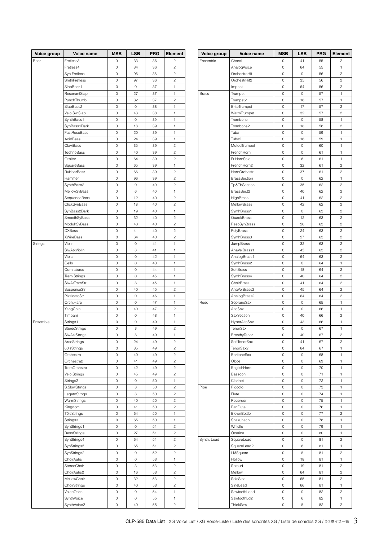| <b>Voice group</b> | Voice name                 | <b>MSB</b> | LSB | <b>PRG</b> | Element                 |
|--------------------|----------------------------|------------|-----|------------|-------------------------|
| Bass               | Fretless3                  | 0          | 33  | 36         | $\overline{c}$          |
|                    | Fretless4                  | 0          | 34  | 36         | $\overline{c}$          |
|                    | Syn.Fretless               | 0          | 96  | 36         | $\overline{c}$          |
|                    | SmthFretless               | 0          | 97  | 36         | $\overline{c}$          |
|                    | SlapBass1                  | 0          | 0   | 37         | 1                       |
|                    | ResonantSlap               | 0          | 27  | 37         | 1                       |
|                    | PunchThumb                 | 0          | 32  | 37         | 2                       |
|                    | SlapBass2                  | 0          | 0   | 38         | 1                       |
|                    | Velo.Sw.Slap               | 0          | 43  | 38         | 1                       |
|                    | SynthBass1                 | 0          | 0   | 39         | 1                       |
|                    | SynBass1Dark               | 0          | 18  | 39         | 1                       |
|                    | FastResoBass               | 0          | 20  | 39         | 1                       |
|                    | AcidBass                   | 0          | 24  | 39         | 1                       |
|                    | ClaviBass                  | 0          | 35  | 39         | $\overline{\mathbf{c}}$ |
|                    | TechnoBass                 | 0          | 40  | 39         | $\overline{c}$          |
|                    | Orbiter                    | 0          | 64  | 39         | $\overline{c}$          |
|                    | SquareBass                 | 0          | 65  | 39         | 1                       |
|                    | RubberBass                 | 0          | 66  | 39         | $\overline{c}$          |
|                    | Hammer                     | 0          | 96  | 39         | $\overline{c}$          |
|                    | SynthBass2                 | 0          | 0   | 40         | $\overline{c}$          |
|                    | MellowSyBass               | 0          | 6   | 40         | 1                       |
|                    | SequenceBass               | 0          | 12  | 40         | 2                       |
|                    | ClickSynBass               | 0          | 18  | 40         | $\overline{c}$          |
|                    | SynBass2Dark               | 0          | 19  | 40         | 1                       |
|                    | SmoothSyBass               | 0          | 32  | 40         | $\overline{c}$          |
|                    | ModulrSyBass               | 0          | 40  | 40         | $\overline{c}$          |
|                    | <b>DXBass</b>              | 0          | 41  | 40         | $\overline{c}$          |
|                    | <b>XWireBass</b>           | 0          | 64  | 40         | $\overline{c}$          |
| Strings            | Violin                     | 0          | 0   | 41         | 1                       |
|                    | SlwAtkViolin               | 0          | 8   | 41         | 1                       |
|                    | Viola                      | 0          | 0   | 42         | 1                       |
|                    | Cello                      | 0          | 0   | 43         | 1                       |
|                    | Contrabass                 | 0          | 0   | 44         | 1                       |
|                    | Trem.Strings               | 0          | 0   | 45         | 1                       |
|                    | SlwAtTremStr               | 0          | 8   | 45         | 1                       |
|                    | SuspenseStr                | 0          | 40  | 45         | $\overline{c}$          |
|                    | PizzicatoStr               | 0          | 0   | 46         | 1                       |
|                    | Orch.Harp                  | 0          | 0   | 47         | 1                       |
|                    | YangChin                   | 0          | 40  | 47         | $\overline{c}$          |
|                    | Timpani                    | 0          | 0   | 48         | 1                       |
| Ensemble           | Strings1                   | 0          | 0   | 49         | 1                       |
|                    | StereoStrngs               | 0          | 3   | 49         | $\overline{c}$          |
|                    | SlwAtkStrngs               | 0          | 8   | 49         | 1                       |
|                    | ArcoStrings                | 0          | 24  | 49         | $\overline{\mathbf{c}}$ |
|                    | 60'sStrings                | 0          | 35  | 49         | $\overline{\mathbf{c}}$ |
|                    | Orchestra                  | 0          | 40  | 49         | $\overline{c}$          |
|                    | Orchestra2                 | 0          | 41  | 49         | $\overline{c}$          |
|                    | TremOrchstra               | 0          | 42  | 49         | $\overline{c}$          |
|                    | Velo.Strings               | 0          | 45  | 49         | $\overline{c}$          |
|                    | Strings2                   | 0          | 0   | 50         | 1                       |
|                    | S.SlowStrngs               | 0          | 3   | 50         | 2                       |
|                    | LegatoStrngs               | 0          | 8   | 50         | $\overline{\mathbf{c}}$ |
|                    | WarmStrings                | 0          | 40  | 50         | $\overline{\mathbf{c}}$ |
|                    | Kingdom                    | 0          | 41  | 50         | $\overline{c}$          |
|                    | 70'sStrings                | 0          | 64  | 50         | 1                       |
|                    | Strings3                   | 0          | 65  | 50         | 1                       |
|                    |                            | 0          | 0   | 51         | $\overline{c}$          |
|                    | SynStrings1<br>ResoStrings | 0          | 27  | 51         | $\overline{\mathbf{c}}$ |
|                    |                            | 0          | 64  | 51         | $\overline{\mathbf{c}}$ |
|                    | SynStrings4                |            |     |            |                         |
|                    | SynStrings5                | 0          | 65  | 51         | $\overline{\mathbf{c}}$ |
|                    | SynStrings2                | 0          | 0   | 52         | $\overline{\mathbf{c}}$ |
|                    | ChoirAahs                  | 0          | 0   | 53         | 1                       |
|                    | StereoChoir                | 0          | 3   | 53         | $\overline{c}$          |
|                    | ChoirAahs2                 | 0          | 16  | 53         | $\overline{\mathbf{c}}$ |
|                    | MellowChoir                | 0          | 32  | 53         | $\overline{\mathbf{c}}$ |
|                    | ChoirStrings               | 0          | 40  | 53         | $\overline{\mathbf{c}}$ |
|                    | VoiceOohs                  | 0          | 0   | 54         | 1                       |
|                    | SynthVoice                 | 0          | 0   | 55         | 1                       |
|                    | SynthVoice2                | 0          | 40  | 55         | $\overline{\mathbf{c}}$ |

| Voice group  | Voice name                   | <b>MSB</b> | <b>LSB</b> | <b>PRG</b> | Element                 |  |  |
|--------------|------------------------------|------------|------------|------------|-------------------------|--|--|
| Ensemble     | Choral                       | 0          | 41         | 55         | $\overline{c}$          |  |  |
|              | AnalogVoice                  | 0          | 64         | 55         | 1                       |  |  |
|              | OrchestraHit                 | 0          | 0          | 56         | 2                       |  |  |
|              | OrchestrHit2                 | 0          | 35         | 56         | 2                       |  |  |
|              | Impact                       | 0          | 64         | 56         | $\overline{\mathbf{c}}$ |  |  |
| <b>Brass</b> | Trumpet                      | 0          | 0          | 57         | 1                       |  |  |
|              | Trumpet2                     | 0          | 16         | 57         | 1                       |  |  |
|              | <b>BriteTrumpet</b>          | 0          | 17         | 57         | $\overline{c}$          |  |  |
|              | WarmTrumpet                  | 0          | 32         | 57         | $\overline{c}$          |  |  |
|              | Trombone                     | 0          | 0          | 58         | 1                       |  |  |
|              | Trombone2                    | 0          | 18         | 58         | 2                       |  |  |
|              | Tuba                         | 0          | 0          | 59         | 1                       |  |  |
|              | Tuba2                        | 0          | 16         | 59         | 1                       |  |  |
|              | MutedTrumpet                 | 0          | 0          | 60         | 1                       |  |  |
|              | FrenchHorn                   | 0          | 0          | 61         | 1                       |  |  |
|              | Fr.HornSolo                  | 0          | 6          | 61         | 1                       |  |  |
|              | FrenchHorn2                  | 0          | 32         | 61         | $\overline{c}$          |  |  |
|              | HornOrchestr                 | 0          | 37         | 61         | 2                       |  |  |
|              | BrassSection                 | 0          | 0          | 62         | 1                       |  |  |
|              | Tp&TbSection                 | 0          | 35         | 62         | $\overline{c}$          |  |  |
|              | BrassSect2                   | 0          | 40         | 62         | $\overline{c}$          |  |  |
|              | HighBrass                    | 0          | 41         | 62         | $\overline{c}$          |  |  |
|              | MellowBrass                  | 0          | 42         | 62         | $\overline{c}$          |  |  |
|              | SynthBrass1                  | 0          | 0          | 63         | $\overline{c}$          |  |  |
|              | QuackBrass                   | 0          | 12         | 63         | $\overline{c}$          |  |  |
|              | ResoSynBrass                 | 0          | 20         | 63         | 2                       |  |  |
|              | PolyBrass                    | 0          | 24         | 63         | $\overline{c}$          |  |  |
|              | SynthBrass3                  | 0<br>0     | 27<br>32   | 63<br>63   | $\overline{c}$<br>2     |  |  |
|              | <b>JumpBrass</b>             | 0          | 45         | 63         | $\overline{c}$          |  |  |
|              | AnaVelBrass1<br>AnalogBrass1 | 0          | 64         | 63         | $\overline{c}$          |  |  |
|              | SynthBrass2                  | 0          | 0          | 64         | 1                       |  |  |
|              | SoftBrass                    | 0          | 18         | 64         | 2                       |  |  |
|              | SynthBrass4                  | 0          | 40         | 64         | 2                       |  |  |
|              | ChoirBrass                   | 0          | 41         | 64         | $\overline{c}$          |  |  |
|              | AnaVelBrass2                 | 0          | 45         | 64         | $\overline{c}$          |  |  |
|              | AnalogBrass2                 | 0          | 64         | 64         | $\overline{c}$          |  |  |
| Reed         | SopranoSax                   | 0          | 0          | 65         | 1                       |  |  |
|              | AltoSax                      | 0          | 0          | 66         | 1                       |  |  |
|              | SaxSection                   | 0          | 40         | 66         | $\overline{c}$          |  |  |
|              | HyperAltoSax                 | 0          | 43         | 66         | 1                       |  |  |
|              | TenorSax                     | 0          | 0          | 67         | 1                       |  |  |
|              | BreathyTenor                 | 0          | 40         | 67         | $\overline{c}$          |  |  |
|              | SoftTenorSax                 | 0          | 41         | 67         | $\overline{c}$          |  |  |
|              | TenorSax2                    | 0          | 64         | 67         | 1                       |  |  |
|              | <b>BaritoneSax</b>           | 0          | 0          | 68         | 1                       |  |  |
|              | Oboe                         | 0          | 0          | 69         | 1                       |  |  |
|              | EnglishHorn                  | 0          | 0          | 70         | 1                       |  |  |
|              | Bassoon                      | 0          | 0          | 71         | 1                       |  |  |
|              | Clarinet                     | 0          | 0          | 72         | 1                       |  |  |
| Pipe         | Piccolo                      | 0          | 0          | 73         | 1                       |  |  |
|              | Flute                        | 0          | 0          | 74         | 1                       |  |  |
|              | Recorder                     | 0          | 0          | 75         | 1                       |  |  |
|              | PanFlute                     | 0          | 0          | 76         | 1                       |  |  |
|              | BlownBottle                  | 0          | 0          | 77         | $\overline{c}$          |  |  |
|              | Shakuhachi                   | 0          | 0          | 78<br>79   | 1<br>1                  |  |  |
|              | Whistle<br>Ocarina           | 0<br>0     | 0<br>0     | 80         | 1                       |  |  |
| Synth. Lead  | SquareLead                   | 0          | 0          | 81         | 2                       |  |  |
|              | SquareLead2                  | 0          | 6          | 81         | 1                       |  |  |
|              | LMSquare                     | 0          | 8          | 81         | $\overline{c}$          |  |  |
|              | Hollow                       | 0          | 18         | 81         | 1                       |  |  |
|              | Shroud                       | 0          | 19         | 81         | 2                       |  |  |
|              | Mellow                       | 0          | 64         | 81         | 2                       |  |  |
|              | SoloSine                     | 0          | 65         | 81         | 2                       |  |  |
|              | SineLead                     | 0          | 66         | 81         | 1                       |  |  |
|              | SawtoothLead                 | 0          | 0          | 82         | 2                       |  |  |
|              | SawtoothLd2                  | 0          | 6          | 82         | 1                       |  |  |
|              | ThickSaw                     | 0          | 8          | 82         | $\overline{c}$          |  |  |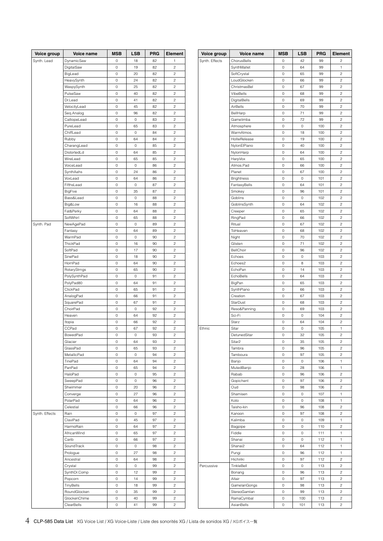| Voice group    | Voice name          | <b>MSB</b>          | LSB                 | <b>PRG</b> | Element                      | Voice group    | Voice name         | <b>MSB</b>                 | <b>LSB</b>                | <b>PRG</b> | Element                      |
|----------------|---------------------|---------------------|---------------------|------------|------------------------------|----------------|--------------------|----------------------------|---------------------------|------------|------------------------------|
| Synth. Lead    | DynamicSaw          | 0                   | 18                  | 82         |                              | Synth. Effects | ChorusBells        | 0                          | 42                        | 99         | 2                            |
|                | DigitalSaw          | 0                   | 19                  | 82         | $\sqrt{2}$                   |                | SynthMallet        | $\mathbb O$                | 64                        | 99         | 1                            |
|                | BigLead             | $\mathbb O$         | 20                  | 82         | $\sqrt{2}$                   |                | SoftCrystal        | $\,0\,$                    | 65                        | 99         | $\overline{\mathbf{c}}$      |
|                | HeavySynth          | $\mathbb O$         | 24                  | 82         | $\sqrt{2}$                   |                | LoudGlocken        | 0                          | 66                        | 99         | $\sqrt{2}$                   |
|                | WaspySynth          | $\circ$             | 25                  | 82         | $\sqrt{2}$                   |                | ChristmasBel       | $\circ$                    | 67                        | 99         | $\overline{c}$               |
|                | PulseSaw            | $\circ$             | 40                  | 82         | $\sqrt{2}$                   |                | VibeBells          | $\circ$                    | 68                        | 99         | $\overline{c}$               |
|                | Dr.Lead             | $\circ$             | 41                  | 82         | $\sqrt{2}$                   |                | DigitalBells       | $\mathbb O$                | 69                        | 99         | $\overline{c}$               |
|                | VelocityLead        | $\circ$             | 45                  | 82         | $\sqrt{2}$                   |                | AirBells           | $\circ$                    | 70                        | 99         | $\overline{c}$               |
|                | Seq.Analog          | 0                   | 96                  | 82         | $\sqrt{2}$                   |                | BellHarp           | 0                          | 71                        | 99         | $\overline{\mathbf{c}}$      |
|                | CalliopeLead        | $\mathbb O$         | $\mathbb O$         | 83         | $\sqrt{2}$                   |                | Gamelimba          | $\mathbb O$                | 72                        | 99         | $\sqrt{2}$                   |
|                | PureLead            | $\mathbb O$         | 65                  | 83         | $\sqrt{2}$                   |                | Atmosphere         | $\mathbb O$                | $\mathsf{O}\xspace$       | 100        | $\overline{c}$               |
|                | ChiffLead           | $\mathbb O$         | $\mathsf{O}\xspace$ | 84         | $\sqrt{2}$                   |                | WarmAtmos.         | $\mathbb O$                | 18                        | 100        | $\overline{c}$               |
|                | Rubby               | 0                   | 64                  | 84         | $\overline{c}$               |                | HollwRelease       | $\mathbf 0$                | 19                        | 100        | $\overline{c}$               |
|                | CharangLead         | 0                   | 0                   | 85         | $\sqrt{2}$                   |                | NylonElPiano       | $\mathbb O$                | 40                        | 100        | $\overline{c}$               |
|                | DistortedLd         | 0                   | 64                  | 85         | $\overline{c}$               |                | NylonHarp          | $\mathbb O$                | 64                        | 100        | $\overline{c}$               |
|                | WireLead            | 0                   | 65                  | 85         | $\sqrt{2}$                   |                | HarpVox            | 0                          | 65                        | 100        | $\overline{\mathbf{c}}$      |
|                | VoiceLead           | $\mathbb O$         | 0                   | 86         | $\sqrt{2}$                   |                | Atmos.Pad          | $\mathbb O$                | 66                        | 100        | $\overline{\mathbf{c}}$      |
|                | SynthAahs           | $\mathbb O$         | 24                  | 86         | $\sqrt{2}$                   |                | Planet             | $\,0\,$                    | 67                        | 100        | $\overline{\mathbf{c}}$      |
|                | VoxLead             | $\mathbb O$         | 64                  | 86         | $\sqrt{2}$                   |                | Brightness         | 0                          | $\mathbb O$               | 101        | $\sqrt{2}$                   |
|                | FifthsLead          | $\circ$             | $\mathbb O$         | 87         | $\sqrt{2}$                   |                | FantasyBells       | $\circ$                    | 64                        | 101        | $\overline{c}$               |
|                | <b>BigFive</b>      | $\circ$             | 35                  | 87         | $\sqrt{2}$                   |                | Smokey             | $\circ$                    | 96                        | 101        | $\overline{c}$               |
|                | Bass&Lead           | $\circ$             | $\mathbb O$         | 88         | $\sqrt{2}$                   |                | Goblins            | $\mathbb O$                | $\mathsf{O}\xspace$       | 102        | $\overline{c}$               |
|                | Big&Low             | $\circ$             | 16                  | 88         | $\sqrt{2}$                   |                | GoblinsSynth       | $\circ$                    | 64                        | 102        | $\overline{c}$               |
|                | Fat&Perky           | 0                   | 64                  | 88         | $\sqrt{2}$                   |                | Creeper            | 0                          | 65                        | 102        | $\overline{\mathbf{c}}$      |
|                | SoftWhirl           | $\circ$             | 65                  | 88         | $\sqrt{2}$                   |                | RingPad            | 0                          | 66                        | 102        | $\overline{c}$               |
| Synth. Pad     | NewAgePad           | $\mathbb O$         | 0                   | 89         | $\sqrt{2}$                   |                | Ritual             | $\mathbb O$                | 67                        | 102        | $\overline{c}$               |
|                | Fantasy             | $\mathbb O$         | 64                  | 89         | $\sqrt{2}$                   |                | ToHeaven           | $\mathbb O$                | 68                        | 102        | $\overline{c}$               |
|                | WarmPad             | 0                   | $\circ$             | 90         | $\overline{c}$               |                | Night              | $\mathbf 0$                | 70                        | 102        | $\overline{c}$               |
|                | ThickPad            | $\mathbb O$         | 16                  | 90         | $\sqrt{2}$                   |                | Glisten            | $\mathbb O$                | 71                        | 102        | $\overline{c}$               |
|                | SoftPad             | 0                   | 17                  | 90         | $\sqrt{2}$                   |                | BellChoir          | $\mathbb O$                | 96                        | 102        | $\overline{c}$               |
|                | SinePad             | 0                   | 18                  | 90         | $\sqrt{2}$                   |                | Echoes             | 0                          | $\mathbb O$               | 103        | $\overline{\mathbf{c}}$      |
|                | HornPad             | $\mathbb O$         | 64                  | 90         | $\sqrt{2}$                   |                | Echoes2            | $\mathbb O$                | 8                         | 103        | $\overline{\mathbf{c}}$      |
|                | RotaryStrngs        | $\mathbb O$         | 65                  | 90         | $\sqrt{2}$                   |                | EchoPan            | $\,0\,$                    | 14                        | 103        | $\overline{\mathbf{c}}$      |
|                | PolySynthPad        | $\mathbb O$         | $\mathbb O$         | 91         | $\sqrt{2}$                   |                | EchoBells          | 0                          | 64                        | 103        | $\sqrt{2}$                   |
|                | PolyPad80           | $\circ$             | 64                  | 91         | $\sqrt{2}$                   |                | BigPan             | $\circ$                    | 65                        | 103        | $\overline{c}$               |
|                | ClickPad            | $\circ$             | 65                  | 91         | $\sqrt{2}$                   |                | SynthPiano         | $\mathbb O$                | 66                        | 103        | $\overline{c}$               |
|                | AnalogPad           | $\circ$             | 66                  | 91         | $\sqrt{2}$                   |                | Creation           | $\mathbb O$                | 67                        | 103        | $\overline{c}$               |
|                | SquarePad           | $\circ$             | 67                  | 91         | $\sqrt{2}$                   |                | <b>StarDust</b>    | $\circ$                    | 68                        | 103        | $\overline{c}$               |
|                | ChoirPad            | 0                   | 0                   | 92         | $\sqrt{2}$                   |                |                    | 0                          | 69                        | 103        | $\overline{\mathbf{c}}$      |
|                |                     | $\circ$             | 64                  | 92         | $\sqrt{2}$                   |                | Reso&Panning       |                            | $\mathsf{O}\xspace$       |            | $\overline{c}$               |
|                | Heaven              | $\mathbb O$         | 66                  | 92         | $\sqrt{2}$                   |                | Sci-Fi             | 0<br>$\mathbb O$           | 64                        | 104<br>104 | $\overline{c}$               |
|                | Itopia              | $\mathbb O$         |                     | 92         | $\overline{c}$               |                | Starz              |                            | $\mathsf O$               |            |                              |
|                | CCPad               | $\circ$             | 67<br>$\mathbb O$   | 93         | $\sqrt{2}$                   | Ethnic         | Sitar              | $\mathbb O$<br>$\circ$     | 32                        | 105<br>105 | 1<br>$\overline{c}$          |
|                | BowedPad            |                     |                     | 93         | $\sqrt{2}$                   |                | DetunedSitar       | $\circ$                    | 35                        |            | $\overline{c}$               |
|                | Glacier<br>GlassPad | 0<br>0              | 64<br>65            | 93         | $\sqrt{2}$                   |                | Sitar <sub>2</sub> | $\mathbb O$                | 96                        | 105<br>105 | $\overline{c}$               |
|                |                     |                     |                     | 94         | $\sqrt{2}$                   |                | Tambra<br>Tamboura |                            | 97                        |            |                              |
|                | MetallicPad         | 0                   | 0                   |            |                              |                |                    | 0                          |                           | 105        | $\overline{\mathbf{c}}$      |
|                | TinePad<br>PanPad   | $\mathbb O$         | 64                  | 94<br>94   | $\sqrt{2}$<br>$\sqrt{2}$     |                | Banjo              | $\mathbb O$                | $\mathsf{O}\xspace$<br>28 | 106        | 1                            |
|                |                     | 0                   | 65                  |            |                              |                | MutedBanjo         | $\,0\,$                    |                           | 106        | 1                            |
|                | HaloPad             | $\mathbb O$         | 0                   | 95         | $\sqrt{2}$<br>$\overline{c}$ |                | Rabab              | $\mathbb O$<br>$\mathbf 0$ | 96<br>97                  | 106        | $\sqrt{2}$<br>$\overline{c}$ |
|                | SweepPad            | $\circ$             | $\mathbb O$         | 96         |                              |                | Gopichant          |                            |                           | 106        |                              |
|                | Shwimmer            | $\circ$             | 20                  | 96         | $\sqrt{2}$                   |                | Oud                | $\mathbb O$                | 98                        | 106        | $\overline{c}$               |
|                | Converge            | $\circ$             | 27                  | 96         | $\overline{c}$               |                | Shamisen           | $\mathbb O$                | $\mathsf{O}\xspace$       | 107        | $\mathbf{1}$                 |
|                | PolarPad            | $\circ$             | 64                  | 96         | $\overline{c}$               |                | Koto               | $\circ$                    | $\mathsf{O}\xspace$       | 108        | $\mathbf{1}$                 |
|                | Celestial           | 0                   | 66                  | 96         | $\sqrt{2}$                   |                | Taisho-kin         | 0                          | 96                        | 108        | $\sqrt{2}$                   |
| Synth. Effects | Rain                | $\mathbb O$         | 0                   | 97         | $\sqrt{2}$                   |                | Kanoon             | 0                          | 97                        | 108        | $\sqrt{2}$                   |
|                | ClaviPad            | $\mathbb O$         | 45                  | 97         | $\overline{c}$               |                | Kalimba            | $\mathbb O$                | $\mathsf O$               | 109        | 1                            |
|                | HarmoRain           | $\mathbb O$         | 64                  | 97         | $\overline{c}$               |                | Bagpipe            | $\mathbb O$                | $\mathsf O$               | 110        | $\overline{c}$               |
|                | AfricanWind         | 0                   | 65                  | 97         | $\overline{c}$               |                | Fiddle             | $\circ$                    | $\mathsf{O}\xspace$       | 111        | 1                            |
|                | Carib               | $\mathsf{O}\xspace$ | 66                  | 97         | $\overline{c}$               |                | Shanai             | $\circ$                    | $\circ$                   | 112        | 1                            |
|                | SoundTrack          | 0                   | $\mathbb O$         | 98         | $\sqrt{2}$                   |                | Shanai2            | $\mathbb O$                | 64                        | 112        | 1                            |
|                | Prologue            | 0                   | 27                  | 98         | $\overline{c}$               |                | Pungi              | 0                          | 96                        | 112        | $\mathbf{1}$                 |
|                | Ancestral           | 0                   | 64                  | 98         | $\sqrt{2}$                   |                | Hichiriki          | $\mathbb O$                | 97                        | 112        | $\overline{\mathbf{c}}$      |
|                | Crystal             | 0                   | 0                   | 99         | $\sqrt{2}$                   | Percussive     | TinkleBell         | $\mathbb O$                | 0                         | 113        | $\overline{\mathbf{c}}$      |
|                | SynthDr.Comp        | $\mathbb O$         | 12                  | 99         | $\sqrt{2}$                   |                | Bonang             | $\mathbb O$                | 96                        | 113        | $\sqrt{2}$                   |
|                | Popcorn             | $\circ$             | 14                  | 99         | $\overline{c}$               |                | Altair             | $\circ$                    | 97                        | 113        | $\overline{c}$               |
|                | TinyBells           | $\circ$             | 18                  | 99         | $\sqrt{2}$                   |                | GamelanGongs       | $\circ$                    | 98                        | 113        | $\overline{c}$               |
|                | RoundGlocken        | $\circ$             | 35                  | 99         | $\sqrt{2}$                   |                | StereoGamlan       | $\mathbb O$                | 99                        | 113        | $\overline{c}$               |
|                | GlockenChime        | $\circ$             | 40                  | 99         | $\overline{c}$               |                | RamaCymbal         | $\mathbb O$                | 100                       | 113        | $\overline{c}$               |
|                | ClearBells          | 0                   | 41                  | 99         | $\overline{c}$               |                | AsianBells         | 0                          | 101                       | 113        | $\sqrt{2}$                   |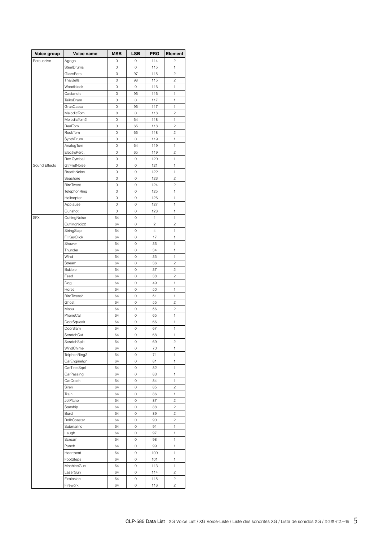| Voice group   | Voice name    | <b>MSB</b> | LSB | <b>PRG</b>     | Element                 |  |  |
|---------------|---------------|------------|-----|----------------|-------------------------|--|--|
| Percussive    | Agogo         | 0          | 0   | 114            | $\overline{c}$          |  |  |
|               | SteelDrums    | 0          | 0   | 115            | 1                       |  |  |
|               | GlassPerc.    | 0          | 97  | 115            | $\overline{c}$          |  |  |
|               | ThaiBells     | 0          | 98  | 115            | $\overline{\mathbf{c}}$ |  |  |
|               | Woodblock     | 0          | 0   | 116            | 1                       |  |  |
|               | Castanets     | 0          | 96  | 116            | 1                       |  |  |
|               | TaikoDrum     | 0          | 0   | 117            | 1                       |  |  |
|               | GranCassa     | 0          | 96  | 117            | 1                       |  |  |
|               | MelodicTom    | 0          | 0   | 118            | $\overline{c}$          |  |  |
|               | MelodicTom2   | 0          | 64  | 118            | 1                       |  |  |
|               | RealTom       | 0          | 65  | 118            | 2                       |  |  |
|               | RockTom       | 0          | 66  | 118            | $\overline{\mathbf{c}}$ |  |  |
|               | SynthDrum     | 0          | 0   | 119            | 1                       |  |  |
|               | AnalogTom     | 0          | 64  | 119            | 1                       |  |  |
|               | ElectroPerc.  | 0          | 65  | 119            | $\overline{c}$          |  |  |
|               | Rev.Cymbal    | 0          | 0   | 120            | 1                       |  |  |
| Sound Effects | GtrFretNoise  | 0          | 0   | 121            | 1                       |  |  |
|               | BreathNoise   | 0          | 0   | 122            | 1                       |  |  |
|               | Seashore      | 0          | 0   | 123            | $\overline{\mathbf{c}}$ |  |  |
|               | BirdTweet     | 0          | 0   | 124            | $\overline{\mathbf{c}}$ |  |  |
|               | TelephonRing  | 0          | 0   | 125            | 1                       |  |  |
|               | Helicopter    | 0          | 0   | 126            | 1                       |  |  |
|               | Applause      | 0          | 0   | 127            | 1                       |  |  |
|               | Gunshot       | 0          | 0   | 128            | 1                       |  |  |
| <b>SFX</b>    | CuttingNoise  | 64         | 0   | $\mathbf{1}$   | 1                       |  |  |
|               | CuttingNoiz2  | 64         | 0   | $\overline{c}$ | 2                       |  |  |
|               | StringSlap    | 64         | 0   | $\overline{4}$ | 1                       |  |  |
|               | Fl.KeyClick   | 64         | 0   | 17             | 1                       |  |  |
|               | Shower        | 64         | 0   | 33             | 1                       |  |  |
|               | Thunder       | 64         | 0   | 34             | 1                       |  |  |
|               | Wind          | 64         | 0   | 35             | 1                       |  |  |
|               | Stream        | 64         | 0   | 36             | $\overline{c}$          |  |  |
|               | <b>Bubble</b> | 64         | 0   | 37             | $\overline{\mathbf{c}}$ |  |  |
|               | Feed          | 64         | 0   | 38             | $\overline{\mathbf{c}}$ |  |  |
|               | Dog           | 64         | 0   | 49             | 1                       |  |  |
|               | Horse         | 64         | 0   | 50             | 1                       |  |  |
|               | BirdTweet2    | 64         | 0   | 51             | 1                       |  |  |
|               | Ghost         | 64         | 0   | 55             | $\overline{\mathbf{c}}$ |  |  |
|               | Maou          | 64         | 0   | 56             | $\overline{c}$          |  |  |
|               | PhoneCall     | 64         | 0   | 65             | 1                       |  |  |
|               | DoorSqueak    | 64         | 0   | 66             | 1                       |  |  |
|               | DoorSlam      | 64         | 0   | 67             | 1                       |  |  |
|               | ScratchCut    | 64         | 0   | 68             | 1                       |  |  |
|               | ScratchSplit  | 64         | 0   | 69             | $\overline{c}$          |  |  |
|               | WindChime     | 64         | 0   | 70             | 1                       |  |  |
|               | TelphonRing2  | 64         | 0   | 71             | 1                       |  |  |
|               | CarEnginelgn  | 64         | 0   | 81             | 1                       |  |  |
|               | CarTiresSqel  | 64         | 0   | 82             | 1                       |  |  |
|               | CarPassing    | 64         | 0   | 83             | 1                       |  |  |
|               | CarCrash      | 64         | 0   | 84             | 1                       |  |  |
|               | Siren         | 64         | 0   | 85             | 2                       |  |  |
|               | Train         | 64         | 0   | 86             | 1                       |  |  |
|               | JetPlane      | 64         | 0   | 87             | $\overline{\mathbf{c}}$ |  |  |
|               | Starship      | 64         | 0   | 88             | $\overline{c}$          |  |  |
|               | Burst         | 64         | 0   | 89             | $\overline{c}$          |  |  |
|               | RollrCoaster  | 64         | 0   | 90             | 2                       |  |  |
|               | Submarine     | 64         | 0   | 91             | 1                       |  |  |
|               | Laugh         | 64         | 0   | 97             | 1                       |  |  |
|               | Scream        | 64         | 0   | 98             | 1                       |  |  |
|               | Punch         | 64         | 0   | 99             | 1                       |  |  |
|               | Heartbeat     | 64         | 0   | 100            | 1                       |  |  |
|               | FootSteps     | 64         | 0   | 101            | 1                       |  |  |
|               | MachineGun    | 64         | 0   | 113            | 1                       |  |  |
|               | LaserGun      | 64         | 0   | 114            | $\overline{\mathbf{c}}$ |  |  |
|               | Explosion     | 64         | 0   | 115            | 2                       |  |  |
|               | Firework      | 64         | 0   | 116            | 2                       |  |  |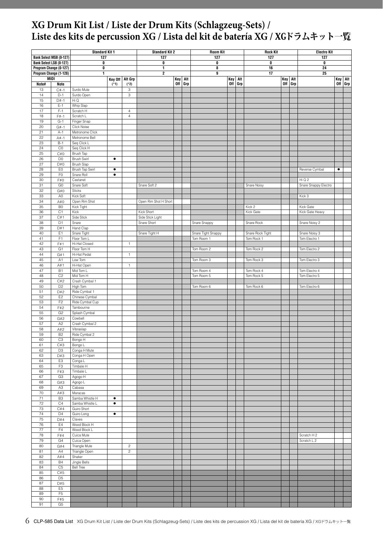## <span id="page-5-0"></span>**XG Drum Kit List / Liste der Drum Kits (Schlagzeug-Sets) / Liste des kits de percussion XG / Lista del kit de batería XG /** XGドラムキット一覧

|          |                                                  | <b>Standard Kit 1</b>             |                        | <b>Standard Kit 2</b> |                       |     | <b>Room Kit</b> | <b>Rock Kit</b>    |     | <b>Electro</b> Kit |                          |     |     |                      |           |         |
|----------|--------------------------------------------------|-----------------------------------|------------------------|-----------------------|-----------------------|-----|-----------------|--------------------|-----|--------------------|--------------------------|-----|-----|----------------------|-----------|---------|
|          | Bank Select MSB (0-127)                          | 127                               |                        | 127                   |                       |     | 127             |                    |     | 127                |                          |     | 127 |                      |           |         |
|          | Bank Select LSB (0-127)                          | 0<br>O                            |                        |                       | 0<br>1                |     |                 | 0<br>8             |     |                    | 0<br>16                  |     |     | 0<br>24              |           |         |
|          | Program Change (0-127)<br>Program Change (1-128) | 1                                 |                        |                       | 2                     |     |                 | 9                  |     |                    | 17                       |     |     | 25                   |           |         |
|          | <b>MIDI</b>                                      |                                   |                        | Key Off Alt Grp       |                       | Key | Alt             |                    | Key | Alt                |                          | Key | Alt |                      | Key       | Alt     |
| Note#    | Note                                             |                                   | $(*1)$                 | $(*2)$                |                       |     | Off Grp         |                    | 0ff | Grp                |                          | 0ff | Grp |                      |           | Off Grp |
| 13       | $C#-1$                                           | Surdo Mute                        |                        | $\,$ 3                |                       |     |                 |                    |     |                    |                          |     |     |                      |           |         |
| 14       | $D-1$                                            | Surdo Open                        |                        | 3                     |                       |     |                 |                    |     |                    |                          |     |     |                      |           |         |
| 15<br>16 | $D#-1$<br>$E-1$                                  | Hi Q<br>Whip Slap                 |                        |                       |                       |     |                 |                    |     |                    |                          |     |     |                      |           |         |
| 17       | $F-1$                                            | Scratch H                         |                        | $\overline{4}$        |                       |     |                 |                    |     |                    |                          |     |     |                      |           |         |
| 18       | $F# - 1$                                         | Scratch L                         |                        | $\sqrt{4}$            |                       |     |                 |                    |     |                    |                          |     |     |                      |           |         |
| 19       | $G-1$                                            | Finger Snap                       |                        |                       |                       |     |                 |                    |     |                    |                          |     |     |                      |           |         |
| $20\,$   | $G# - 1$                                         | Click Noise                       |                        |                       |                       |     |                 |                    |     |                    |                          |     |     |                      |           |         |
| 21<br>22 | $A-1$<br>$A# - 1$                                | Metronome Click<br>Metronome Bell |                        |                       |                       |     |                 |                    |     |                    |                          |     |     |                      |           |         |
| $23\,$   | $B-1$                                            | Seq Click L                       |                        |                       |                       |     |                 |                    |     |                    |                          |     |     |                      |           |         |
| 24       | $_{\rm CO}$                                      | Seq Click H                       |                        |                       |                       |     |                 |                    |     |                    |                          |     |     |                      |           |         |
| 25       | C#0                                              | Brush Tap                         |                        |                       |                       |     |                 |                    |     |                    |                          |     |     |                      |           |         |
| 26       | D <sub>0</sub>                                   | <b>Brush Swirl</b>                | ٠                      |                       |                       |     |                 |                    |     |                    |                          |     |     |                      |           |         |
| 27       | D#0                                              | <b>Brush Slap</b>                 |                        |                       |                       |     |                 |                    |     |                    |                          |     |     |                      |           |         |
| 28<br>29 | E0<br>F <sub>0</sub>                             | Brush Tap Swirl<br>Snare Roll     | $\bullet$<br>$\bullet$ |                       |                       |     |                 |                    |     |                    |                          |     |     | Reverse Cymbal       | $\bullet$ |         |
| 30       | F#0                                              | Castanet                          |                        |                       |                       |     |                 |                    |     |                    |                          |     |     | Hi Q 2               |           |         |
| 31       | G <sub>0</sub>                                   | Snare Soft                        |                        |                       | Snare Soft 2          |     |                 |                    |     |                    | Snare Noisy              |     |     | Snare Snappy Electro |           |         |
| 32       | G#0                                              | Sticks                            |                        |                       |                       |     |                 |                    |     |                    |                          |     |     |                      |           |         |
| 33       | A <sub>0</sub>                                   | Kick Soft                         |                        |                       |                       |     |                 |                    |     |                    |                          |     |     | Kick 3               |           |         |
| 34<br>35 | A#0<br>B <sub>0</sub>                            | Open Rim Shot                     |                        |                       | Open Rim Shot H Short |     |                 |                    |     |                    | Kick 2                   |     |     | Kick Gate            |           |         |
| 36       | C1                                               | Kick Tight<br>Kick                |                        |                       | Kick Short            |     |                 |                    |     |                    | Kick Gate                |     |     | Kick Gate Heavy      |           |         |
| 37       | C#1                                              | Side Stick                        |                        |                       | Side Stick Light      |     |                 |                    |     |                    |                          |     |     |                      |           |         |
| 38       | D <sub>1</sub>                                   | Snare                             |                        |                       | Snare Short           |     |                 | Snare Snappy       |     |                    | Snare Rock               |     |     | Snare Noisy 2        |           |         |
| 39       | D#1                                              | Hand Clap                         |                        |                       |                       |     |                 |                    |     |                    |                          |     |     |                      |           |         |
| 40       | E <sub>1</sub>                                   | Snare Tight                       |                        |                       | Snare Tight H         |     |                 | Snare Tight Snappy |     |                    | Snare Rock Tight         |     |     | Snare Noisy 3        |           |         |
| 41<br>42 | F1<br>F#1                                        | Floor Tom L<br>Hi-Hat Closed      |                        | 1                     |                       |     |                 | Tom Room 1         |     |                    | Tom Rock 1               |     |     | Tom Electro 1        |           |         |
| 43       | G <sub>1</sub>                                   | Floor Tom H                       |                        |                       |                       |     |                 | Tom Room 2         |     |                    | Tom Rock 2               |     |     | Tom Electro 2        |           |         |
| 44       | G#1                                              | Hi-Hat Pedal                      |                        | $\mathbf{1}$          |                       |     |                 |                    |     |                    |                          |     |     |                      |           |         |
| 45       | A1                                               | Low Tom                           |                        |                       |                       |     |                 | Tom Room 3         |     |                    | Tom Rock 3               |     |     | Tom Electro 3        |           |         |
| $46\,$   | A#1                                              | Hi-Hat Open                       |                        | $\mathbf{1}$          |                       |     |                 |                    |     |                    |                          |     |     |                      |           |         |
| 47<br>48 | <b>B1</b><br>C <sub>2</sub>                      | Mid Tom L                         |                        |                       |                       |     |                 | Tom Room 4         |     |                    | Tom Rock 4<br>Tom Rock 5 |     |     | Tom Electro 4        |           |         |
| 49       | C#2                                              | Mid Tom H<br>Crash Cymbal 1       |                        |                       |                       |     |                 | Tom Room 5         |     |                    |                          |     |     | Tom Electro 5        |           |         |
| 50       | D <sub>2</sub>                                   | High Tom                          |                        |                       |                       |     |                 | Tom Room 6         |     |                    | Tom Rock 6               |     |     | Tom Electro 6        |           |         |
| 51       | D#2                                              | Ride Cymbal 1                     |                        |                       |                       |     |                 |                    |     |                    |                          |     |     |                      |           |         |
| 52       | E <sub>2</sub>                                   | Chinese Cymbal                    |                        |                       |                       |     |                 |                    |     |                    |                          |     |     |                      |           |         |
| 53       | F <sub>2</sub>                                   | Ride Cymbal Cup                   |                        |                       |                       |     |                 |                    |     |                    |                          |     |     |                      |           |         |
| 54<br>55 | F#2<br>G <sub>2</sub>                            | Tambourine<br>Splash Cymbal       |                        |                       |                       |     |                 |                    |     |                    |                          |     |     |                      |           |         |
| 56       | G#2                                              | Cowbell                           |                        |                       |                       |     |                 |                    |     |                    |                          |     |     |                      |           |         |
| 57       | A <sub>2</sub>                                   | Crash Cymbal 2                    |                        |                       |                       |     |                 |                    |     |                    |                          |     |     |                      |           |         |
| 58       | A#2                                              | Vibraslap                         |                        |                       |                       |     |                 |                    |     |                    |                          |     |     |                      |           |         |
| 59       | B <sub>2</sub>                                   | Ride Cymbal 2                     |                        |                       |                       |     |                 |                    |     |                    |                          |     |     |                      |           |         |
| 60<br>61 | C <sub>3</sub>                                   | Bongo H<br>Bongo L                |                        |                       |                       |     |                 |                    |     |                    |                          |     |     |                      |           |         |
| 62       | C#3<br>D <sub>3</sub>                            | Conga H Mute                      |                        |                       |                       |     |                 |                    |     |                    |                          |     |     |                      |           |         |
| 63       | D#3                                              | Conga H Open                      |                        |                       |                       |     |                 |                    |     |                    |                          |     |     |                      |           |         |
| 64       | E <sub>3</sub>                                   | Conga L                           |                        |                       |                       |     |                 |                    |     |                    |                          |     |     |                      |           |         |
| 65       | F <sub>3</sub>                                   | Timbale H                         |                        |                       |                       |     |                 |                    |     |                    |                          |     |     |                      |           |         |
| 66       | F#3                                              | Timbale L                         |                        |                       |                       |     |                 |                    |     |                    |                          |     |     |                      |           |         |
| 67<br>68 | G <sub>3</sub><br>G#3                            | Agogo H<br>Agogo L                |                        |                       |                       |     |                 |                    |     |                    |                          |     |     |                      |           |         |
| 69       | A3                                               | Cabasa                            |                        |                       |                       |     |                 |                    |     |                    |                          |     |     |                      |           |         |
| 70       | A#3                                              | Maracas                           |                        |                       |                       |     |                 |                    |     |                    |                          |     |     |                      |           |         |
| 71       | B <sub>3</sub>                                   | Samba Whistle H                   | $\bullet$              |                       |                       |     |                 |                    |     |                    |                          |     |     |                      |           |         |
| 72       | C4                                               | Samba Whistle L                   | $\bullet$              |                       |                       |     |                 |                    |     |                    |                          |     |     |                      |           |         |
| 73       | C#4                                              | Guiro Short                       | $\bullet$              |                       |                       |     |                 |                    |     |                    |                          |     |     |                      |           |         |
| 74<br>75 | D <sub>4</sub><br>D#4                            | Guiro Long<br>Claves              |                        |                       |                       |     |                 |                    |     |                    |                          |     |     |                      |           |         |
| 76       | E4                                               | Wood Block H                      |                        |                       |                       |     |                 |                    |     |                    |                          |     |     |                      |           |         |
| 77       | F4                                               | Wood Block L                      |                        |                       |                       |     |                 |                    |     |                    |                          |     |     |                      |           |         |
| 78       | F#4                                              | Cuica Mute                        |                        |                       |                       |     |                 |                    |     |                    |                          |     |     | Scratch H 2          |           |         |
| 79       | G4                                               | Cuica Open                        |                        |                       |                       |     |                 |                    |     |                    |                          |     |     | Scratch L 2          |           |         |
| 80       | G#4                                              | Triangle Mute                     |                        | $\overline{c}$        |                       |     |                 |                    |     |                    |                          |     |     |                      |           |         |
| 81<br>82 | A4<br>A#4                                        | Triangle Open<br>Shaker           |                        | $\overline{c}$        |                       |     |                 |                    |     |                    |                          |     |     |                      |           |         |
| 83       | <b>B4</b>                                        | Jingle Bells                      |                        |                       |                       |     |                 |                    |     |                    |                          |     |     |                      |           |         |
| 84       | C <sub>5</sub>                                   | Bell Tree                         |                        |                       |                       |     |                 |                    |     |                    |                          |     |     |                      |           |         |
| 85       | C#5                                              |                                   |                        |                       |                       |     |                 |                    |     |                    |                          |     |     |                      |           |         |
| 86       | D <sub>5</sub>                                   |                                   |                        |                       |                       |     |                 |                    |     |                    |                          |     |     |                      |           |         |
| 87       | D#5                                              |                                   |                        |                       |                       |     |                 |                    |     |                    |                          |     |     |                      |           |         |
| 88<br>89 | E <sub>5</sub><br>F <sub>5</sub>                 |                                   |                        |                       |                       |     |                 |                    |     |                    |                          |     |     |                      |           |         |
| 90       | F#5                                              |                                   |                        |                       |                       |     |                 |                    |     |                    |                          |     |     |                      |           |         |
| 91       | G <sub>5</sub>                                   |                                   |                        |                       |                       |     |                 |                    |     |                    |                          |     |     |                      |           |         |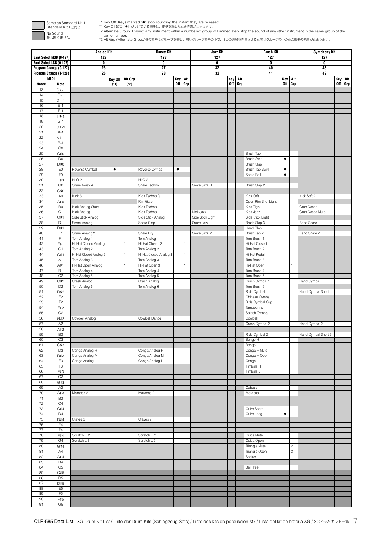

\*1 Key Off: Keys marked \*●\* stop sounding the instant they are released.<br>\*1 Key Off製ic 「●」がついている楽器は、鍵盤を離したとき発話が止まります。<br>\*2 Alternate Group: Playing any instrument within a numbered group will immediately stop the sound of a

same number. \*2 Alt Grp (Alternate Group)欄の番号はグループを表し、同じグループ番号の中で、1つの楽器を発音させると同じグループの中の他の楽器の発音が止まります。

|             |                                                   | <b>Analog Kit</b>                      |                 |        | <b>Dance Kit</b>                       | Jazz Kit |              |                  | <b>Brush Kit</b> |     |                                   | <b>Symphony Kit</b> |                         |                     |         |     |
|-------------|---------------------------------------------------|----------------------------------------|-----------------|--------|----------------------------------------|----------|--------------|------------------|------------------|-----|-----------------------------------|---------------------|-------------------------|---------------------|---------|-----|
|             | Bank Select MSB (0-127)                           | 127                                    |                 |        | 127<br>0                               |          |              | 127              |                  |     | 127                               |                     |                         | 127                 |         |     |
|             | Bank Select LSB (0-127)<br>Program Change (0-127) | 0<br>25                                |                 |        | 27                                     |          |              | 0<br>32          |                  |     | 0<br>40                           |                     |                         | 0<br>48             |         |     |
|             | Program Change (1-128)                            | 26                                     |                 |        | 28                                     |          |              | 33               |                  |     | 41                                |                     |                         | 49                  |         |     |
|             | MIDI                                              |                                        | Key Off Alt Grp |        |                                        | Key Alt  |              |                  | Key              | Alt |                                   | <b>Key Alt</b>      |                         |                     | Key     | Alt |
| Note#<br>13 | Note<br>$C# - 1$                                  |                                        | $(*1)$          | $(*2)$ |                                        | Off Grp  |              |                  | Off              | Grp |                                   |                     | Off Grp                 |                     | Off Grp |     |
| 14          | $D-1$                                             |                                        |                 |        |                                        |          |              |                  |                  |     |                                   |                     |                         |                     |         |     |
| 15          | $D#-1$                                            |                                        |                 |        |                                        |          |              |                  |                  |     |                                   |                     |                         |                     |         |     |
| 16          | $E-1$<br>$F-1$                                    |                                        |                 |        |                                        |          |              |                  |                  |     |                                   |                     |                         |                     |         |     |
| 17<br>18    | $F#-1$                                            |                                        |                 |        |                                        |          |              |                  |                  |     |                                   |                     |                         |                     |         |     |
| 19          | $G-1$                                             |                                        |                 |        |                                        |          |              |                  |                  |     |                                   |                     |                         |                     |         |     |
| 20          | $G# - 1$                                          |                                        |                 |        |                                        |          |              |                  |                  |     |                                   |                     |                         |                     |         |     |
| 21<br>22    | $A-1$<br>$A# - 1$                                 |                                        |                 |        |                                        |          |              |                  |                  |     |                                   |                     |                         |                     |         |     |
| 23          | $B-1$                                             |                                        |                 |        |                                        |          |              |                  |                  |     |                                   |                     |                         |                     |         |     |
| 24          | $_{\rm CO}$                                       |                                        |                 |        |                                        |          |              |                  |                  |     |                                   |                     |                         |                     |         |     |
| 25<br>26    | C#0<br>D <sub>0</sub>                             |                                        |                 |        |                                        |          |              |                  |                  |     | Brush Tap<br>Brush Swirl          | $\bullet$           |                         |                     |         |     |
| 27          | D#0                                               |                                        |                 |        |                                        |          |              |                  |                  |     | Brush Slap                        |                     |                         |                     |         |     |
| 28          | EO                                                | Reverse Cymbal                         | $\bullet$       |        | Reverse Cymbal                         | ٠        |              |                  |                  |     | Brush Tap Swirl                   | ٠                   |                         |                     |         |     |
| 29          | F <sub>0</sub>                                    |                                        |                 |        |                                        |          |              |                  |                  |     | Snare Roll                        | $\bullet$           |                         |                     |         |     |
| 30<br>31    | F#0<br>G <sub>0</sub>                             | Hi Q 2<br>Snare Noisy 4                |                 |        | Hi Q 2<br>Snare Techno                 |          |              | Snare Jazz H     |                  |     | Brush Slap 2                      |                     |                         |                     |         |     |
| 32          | G#0                                               |                                        |                 |        |                                        |          |              |                  |                  |     |                                   |                     |                         |                     |         |     |
| 33          | A <sub>0</sub>                                    | Kick 3                                 |                 |        | Kick Techno Q                          |          |              |                  |                  |     | Kick Soft                         |                     |                         | Kick Soft 2         |         |     |
| 34<br>35    | A#0<br>B <sub>0</sub>                             | Kick Analog Short                      |                 |        | Rim Gate<br>Kick Techno L              |          |              |                  |                  |     | Open Rim Shot Light<br>Kick Tight |                     |                         | Gran Cassa          |         |     |
| 36          | C1                                                | Kick Analog                            |                 |        | Kick Techno                            |          |              | Kick Jazz        |                  |     | Kick Jazz                         |                     |                         | Gran Cassa Mute     |         |     |
| 37          | C#1                                               | Side Stick Analog                      |                 |        | Side Stick Analog                      |          |              | Side Stick Light |                  |     | Side Stick Light                  |                     |                         |                     |         |     |
| 38          | D1                                                | Snare Analog                           |                 |        | Snare Clap                             |          |              | Snare Jazz L     |                  |     | Brush Slap 3                      |                     |                         | <b>Band Snare</b>   |         |     |
| 39<br>40    | D#1<br>E <sub>1</sub>                             | Snare Analog 2                         |                 |        | Snare Dry                              |          |              | Snare Jazz M     |                  |     | Hand Clap<br>Brush Tap 2          |                     |                         | Band Snare 2        |         |     |
| 41          | F <sub>1</sub>                                    | Tom Analog 1                           |                 |        | Tom Analog 1                           |          |              |                  |                  |     | Tom Brush 1                       |                     |                         |                     |         |     |
| 42          | F#1                                               | Hi-Hat Closed Analog                   |                 |        | Hi-Hat Closed 3                        |          | 1            |                  |                  |     | Hi-Hat Closed                     |                     | 1                       |                     |         |     |
| 43<br>44    | G1<br>G#1                                         | Tom Analog 2<br>Hi-Hat Closed Analog 2 |                 |        | Tom Analog 2<br>Hi-Hat Closed Analog 3 |          | 1            |                  |                  |     | Tom Brush 2<br>Hi-Hat Pedal       |                     | 1                       |                     |         |     |
| 45          | A1                                                | Tom Analog 3                           |                 |        | Tom Analog 3                           |          |              |                  |                  |     | Tom Brush 3                       |                     |                         |                     |         |     |
| 46          | A#1                                               | Hi-Hat Open Analog                     |                 |        | Hi-Hat Open 3                          |          | $\mathbf{1}$ |                  |                  |     | Hi-Hat Open                       |                     | 1                       |                     |         |     |
| 47<br>48    | <b>B1</b><br>C <sub>2</sub>                       | Tom Analog 4<br>Tom Analog 5           |                 |        | Tom Analog 4<br>Tom Analog 5           |          |              |                  |                  |     | Tom Brush 4<br>Tom Brush 5        |                     |                         |                     |         |     |
| 49          | C#2                                               | Crash Analog                           |                 |        | Crash Analog                           |          |              |                  |                  |     | Crash Cymbal 1                    |                     |                         | Hand Cymbal         |         |     |
| 50          | D <sub>2</sub>                                    | Tom Analog 6                           |                 |        | Tom Analog 6                           |          |              |                  |                  |     | Tom Brush 6                       |                     |                         |                     |         |     |
| 51          | D#2                                               |                                        |                 |        |                                        |          |              |                  |                  |     | Ride Cymbal 1                     |                     |                         | Hand Cymbal Short   |         |     |
| 52<br>53    | E <sub>2</sub><br>F <sub>2</sub>                  |                                        |                 |        |                                        |          |              |                  |                  |     | Chinese Cymbal<br>Ride Cymbal Cup |                     |                         |                     |         |     |
| 54          | F#2                                               |                                        |                 |        |                                        |          |              |                  |                  |     | Tambourine                        |                     |                         |                     |         |     |
| 55          | G <sub>2</sub>                                    |                                        |                 |        |                                        |          |              |                  |                  |     | Splash Cymbal                     |                     |                         |                     |         |     |
| 56<br>57    | G#2<br>A2                                         | Cowbell Analog                         |                 |        | Cowbell Dance                          |          |              |                  |                  |     | Cowbell<br>Crash Cymbal 2         |                     |                         | Hand Cymbal 2       |         |     |
| 58          | A#2                                               |                                        |                 |        |                                        |          |              |                  |                  |     |                                   |                     |                         |                     |         |     |
| 59          | <b>B2</b>                                         |                                        |                 |        |                                        |          |              |                  |                  |     | Ride Cymbal 2                     |                     |                         | Hand Cymbal Short 2 |         |     |
| 60<br>61    | C <sub>3</sub><br>C#3                             |                                        |                 |        |                                        |          |              |                  |                  |     | Bongo H<br>Bongo L                |                     |                         |                     |         |     |
| 62          | D <sub>3</sub>                                    | Conga Analog H                         |                 |        | Conga Analog H                         |          |              |                  |                  |     | Conga H Mute                      |                     |                         |                     |         |     |
| 63          | D#3                                               | Conga Analog M                         |                 |        | Conga Analog M                         |          |              |                  |                  |     | Conga H Open                      |                     |                         |                     |         |     |
| 64<br>65    | E3<br>F3                                          | Conga Analog L                         |                 |        | Conga Analog L                         |          |              |                  |                  |     | Conga L<br>Timbale H              |                     |                         |                     |         |     |
| 66          | F#3                                               |                                        |                 |        |                                        |          |              |                  |                  |     | Timbale L                         |                     |                         |                     |         |     |
| 67          | G <sub>3</sub>                                    |                                        |                 |        |                                        |          |              |                  |                  |     |                                   |                     |                         |                     |         |     |
| 68          | G#3                                               |                                        |                 |        |                                        |          |              |                  |                  |     |                                   |                     |                         |                     |         |     |
| 69<br>70    | A3<br>A#3                                         | Maracas 2                              |                 |        | Maracas 2                              |          |              |                  |                  |     | Cabasa<br>Maracas                 |                     |                         |                     |         |     |
| 71          | B <sub>3</sub>                                    |                                        |                 |        |                                        |          |              |                  |                  |     |                                   |                     |                         |                     |         |     |
| 72          | C <sub>4</sub>                                    |                                        |                 |        |                                        |          |              |                  |                  |     | Guiro Short                       |                     |                         |                     |         |     |
| 73<br>74    | C#4<br>D <sub>4</sub>                             |                                        |                 |        |                                        |          |              |                  |                  |     | Guiro Long                        | $\bullet$           |                         |                     |         |     |
| $75\,$      | D#4                                               | Claves <sub>2</sub>                    |                 |        | Claves <sub>2</sub>                    |          |              |                  |                  |     |                                   |                     |                         |                     |         |     |
| 76          | E4                                                |                                        |                 |        |                                        |          |              |                  |                  |     |                                   |                     |                         |                     |         |     |
| 77<br>78    | F4<br>F#4                                         | Scratch H 2                            |                 |        | Scratch H 2                            |          |              |                  |                  |     | Cuica Mute                        |                     |                         |                     |         |     |
| 79          | G4                                                | Scratch L 2                            |                 |        | Scratch L 2                            |          |              |                  |                  |     | Cuica Open                        |                     |                         |                     |         |     |
| 80          | G#4                                               |                                        |                 |        |                                        |          |              |                  |                  |     | Triangle Mute                     |                     | $\overline{\mathbf{c}}$ |                     |         |     |
| 81          | AA                                                |                                        |                 |        |                                        |          |              |                  |                  |     | Triangle Open                     |                     | $\overline{c}$          |                     |         |     |
| 82<br>83    | A#4<br><b>B4</b>                                  |                                        |                 |        |                                        |          |              |                  |                  |     | Shaker                            |                     |                         |                     |         |     |
| 84          | C5                                                |                                        |                 |        |                                        |          |              |                  |                  |     | <b>Bell Tree</b>                  |                     |                         |                     |         |     |
| 85          | C#5                                               |                                        |                 |        |                                        |          |              |                  |                  |     |                                   |                     |                         |                     |         |     |
| 86<br>87    | D <sub>5</sub><br>D#5                             |                                        |                 |        |                                        |          |              |                  |                  |     |                                   |                     |                         |                     |         |     |
| 88          | E <sub>5</sub>                                    |                                        |                 |        |                                        |          |              |                  |                  |     |                                   |                     |                         |                     |         |     |
| 89          | F <sub>5</sub>                                    |                                        |                 |        |                                        |          |              |                  |                  |     |                                   |                     |                         |                     |         |     |
| 90<br>91    | F#5<br>G <sub>5</sub>                             |                                        |                 |        |                                        |          |              |                  |                  |     |                                   |                     |                         |                     |         |     |